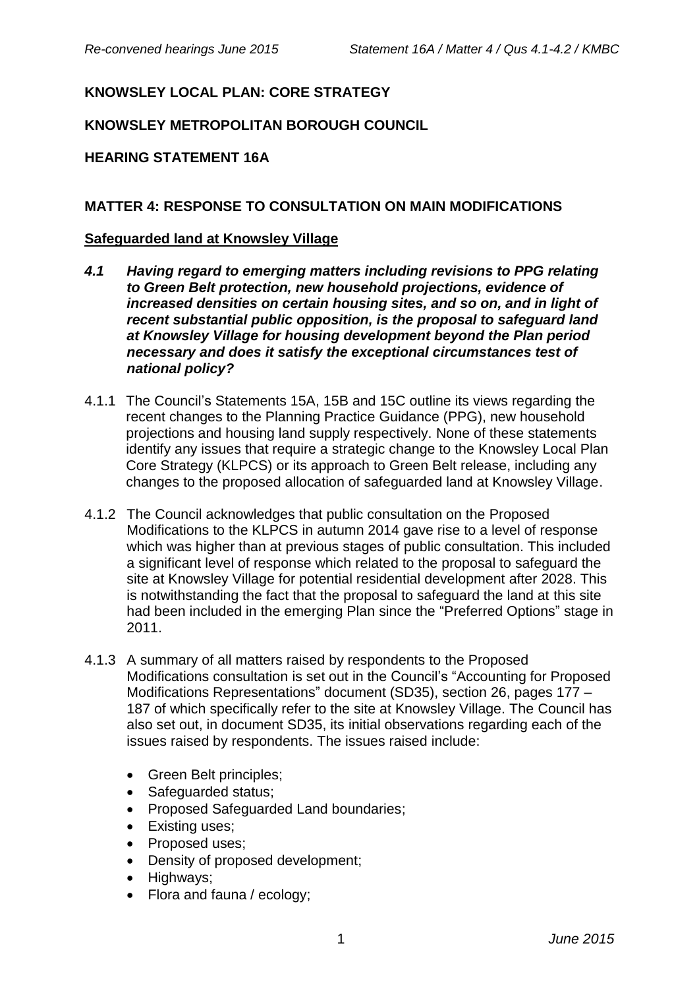# **KNOWSLEY LOCAL PLAN: CORE STRATEGY**

## **KNOWSLEY METROPOLITAN BOROUGH COUNCIL**

### **HEARING STATEMENT 16A**

#### **MATTER 4: RESPONSE TO CONSULTATION ON MAIN MODIFICATIONS**

#### **Safeguarded land at Knowsley Village**

- *4.1 Having regard to emerging matters including revisions to PPG relating to Green Belt protection, new household projections, evidence of increased densities on certain housing sites, and so on, and in light of recent substantial public opposition, is the proposal to safeguard land at Knowsley Village for housing development beyond the Plan period necessary and does it satisfy the exceptional circumstances test of national policy?*
- 4.1.1 The Council's Statements 15A, 15B and 15C outline its views regarding the recent changes to the Planning Practice Guidance (PPG), new household projections and housing land supply respectively. None of these statements identify any issues that require a strategic change to the Knowsley Local Plan Core Strategy (KLPCS) or its approach to Green Belt release, including any changes to the proposed allocation of safeguarded land at Knowsley Village.
- 4.1.2 The Council acknowledges that public consultation on the Proposed Modifications to the KLPCS in autumn 2014 gave rise to a level of response which was higher than at previous stages of public consultation. This included a significant level of response which related to the proposal to safeguard the site at Knowsley Village for potential residential development after 2028. This is notwithstanding the fact that the proposal to safeguard the land at this site had been included in the emerging Plan since the "Preferred Options" stage in 2011.
- 4.1.3 A summary of all matters raised by respondents to the Proposed Modifications consultation is set out in the Council's "Accounting for Proposed Modifications Representations" document (SD35), section 26, pages 177 – 187 of which specifically refer to the site at Knowsley Village. The Council has also set out, in document SD35, its initial observations regarding each of the issues raised by respondents. The issues raised include:
	- Green Belt principles;
	- Safeguarded status;
	- Proposed Safeguarded Land boundaries;
	- Existing uses;
	- Proposed uses:
	- Density of proposed development:
	- Highways;
	- Flora and fauna / ecology;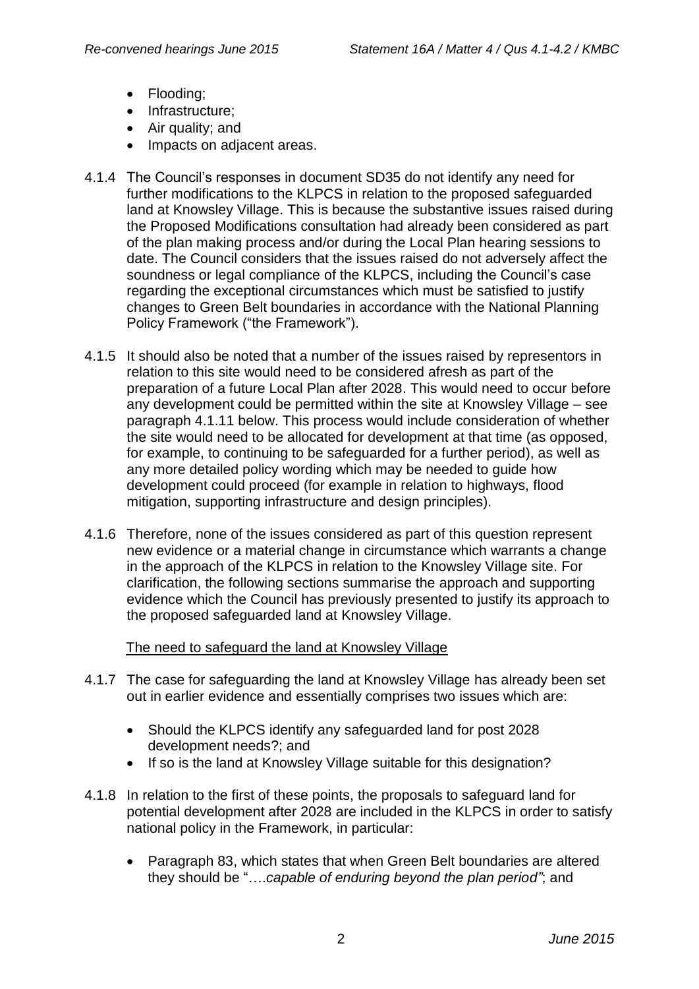- Flooding;
- Infrastructure:
- Air quality; and
- Impacts on adjacent areas.
- 4.1.4 The Council's responses in document SD35 do not identify any need for further modifications to the KLPCS in relation to the proposed safeguarded land at Knowsley Village. This is because the substantive issues raised during the Proposed Modifications consultation had already been considered as part of the plan making process and/or during the Local Plan hearing sessions to date. The Council considers that the issues raised do not adversely affect the soundness or legal compliance of the KLPCS, including the Council's case regarding the exceptional circumstances which must be satisfied to justify changes to Green Belt boundaries in accordance with the National Planning Policy Framework ("the Framework").
- 4.1.5 It should also be noted that a number of the issues raised by representors in relation to this site would need to be considered afresh as part of the preparation of a future Local Plan after 2028. This would need to occur before any development could be permitted within the site at Knowsley Village – see paragraph 4.1.11 below. This process would include consideration of whether the site would need to be allocated for development at that time (as opposed, for example, to continuing to be safeguarded for a further period), as well as any more detailed policy wording which may be needed to guide how development could proceed (for example in relation to highways, flood mitigation, supporting infrastructure and design principles).
- 4.1.6 Therefore, none of the issues considered as part of this question represent new evidence or a material change in circumstance which warrants a change in the approach of the KLPCS in relation to the Knowsley Village site. For clarification, the following sections summarise the approach and supporting evidence which the Council has previously presented to justify its approach to the proposed safeguarded land at Knowsley Village.

The need to safeguard the land at Knowsley Village

- 4.1.7 The case for safeguarding the land at Knowsley Village has already been set out in earlier evidence and essentially comprises two issues which are:
	- Should the KLPCS identify any safeguarded land for post 2028 development needs?; and
	- If so is the land at Knowsley Village suitable for this designation?
- 4.1.8 In relation to the first of these points, the proposals to safeguard land for potential development after 2028 are included in the KLPCS in order to satisfy national policy in the Framework, in particular:
	- Paragraph 83, which states that when Green Belt boundaries are altered they should be "….*capable of enduring beyond the plan period"*; and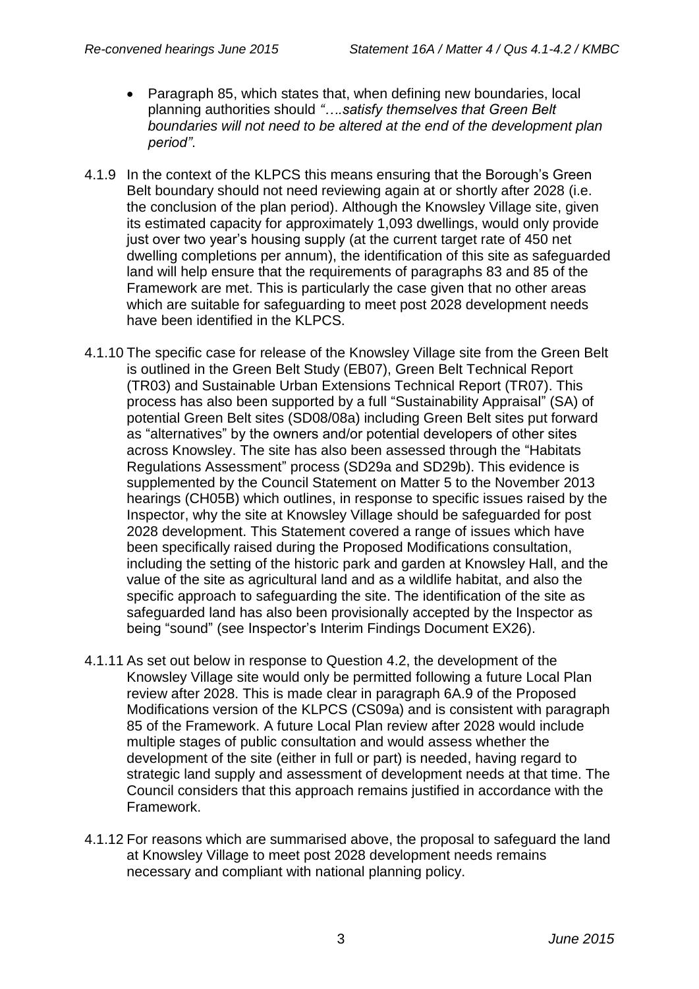- Paragraph 85, which states that, when defining new boundaries, local planning authorities should *"….satisfy themselves that Green Belt boundaries will not need to be altered at the end of the development plan period"*.
- 4.1.9 In the context of the KLPCS this means ensuring that the Borough's Green Belt boundary should not need reviewing again at or shortly after 2028 (i.e. the conclusion of the plan period). Although the Knowsley Village site, given its estimated capacity for approximately 1,093 dwellings, would only provide just over two year's housing supply (at the current target rate of 450 net dwelling completions per annum), the identification of this site as safeguarded land will help ensure that the requirements of paragraphs 83 and 85 of the Framework are met. This is particularly the case given that no other areas which are suitable for safeguarding to meet post 2028 development needs have been identified in the KLPCS.
- 4.1.10 The specific case for release of the Knowsley Village site from the Green Belt is outlined in the Green Belt Study (EB07), Green Belt Technical Report (TR03) and Sustainable Urban Extensions Technical Report (TR07). This process has also been supported by a full "Sustainability Appraisal" (SA) of potential Green Belt sites (SD08/08a) including Green Belt sites put forward as "alternatives" by the owners and/or potential developers of other sites across Knowsley. The site has also been assessed through the "Habitats Regulations Assessment" process (SD29a and SD29b). This evidence is supplemented by the Council Statement on Matter 5 to the November 2013 hearings (CH05B) which outlines, in response to specific issues raised by the Inspector, why the site at Knowsley Village should be safeguarded for post 2028 development. This Statement covered a range of issues which have been specifically raised during the Proposed Modifications consultation, including the setting of the historic park and garden at Knowsley Hall, and the value of the site as agricultural land and as a wildlife habitat, and also the specific approach to safeguarding the site. The identification of the site as safeguarded land has also been provisionally accepted by the Inspector as being "sound" (see Inspector's Interim Findings Document EX26).
- 4.1.11 As set out below in response to Question 4.2, the development of the Knowsley Village site would only be permitted following a future Local Plan review after 2028. This is made clear in paragraph 6A.9 of the Proposed Modifications version of the KLPCS (CS09a) and is consistent with paragraph 85 of the Framework. A future Local Plan review after 2028 would include multiple stages of public consultation and would assess whether the development of the site (either in full or part) is needed, having regard to strategic land supply and assessment of development needs at that time. The Council considers that this approach remains justified in accordance with the Framework.
- 4.1.12 For reasons which are summarised above, the proposal to safeguard the land at Knowsley Village to meet post 2028 development needs remains necessary and compliant with national planning policy.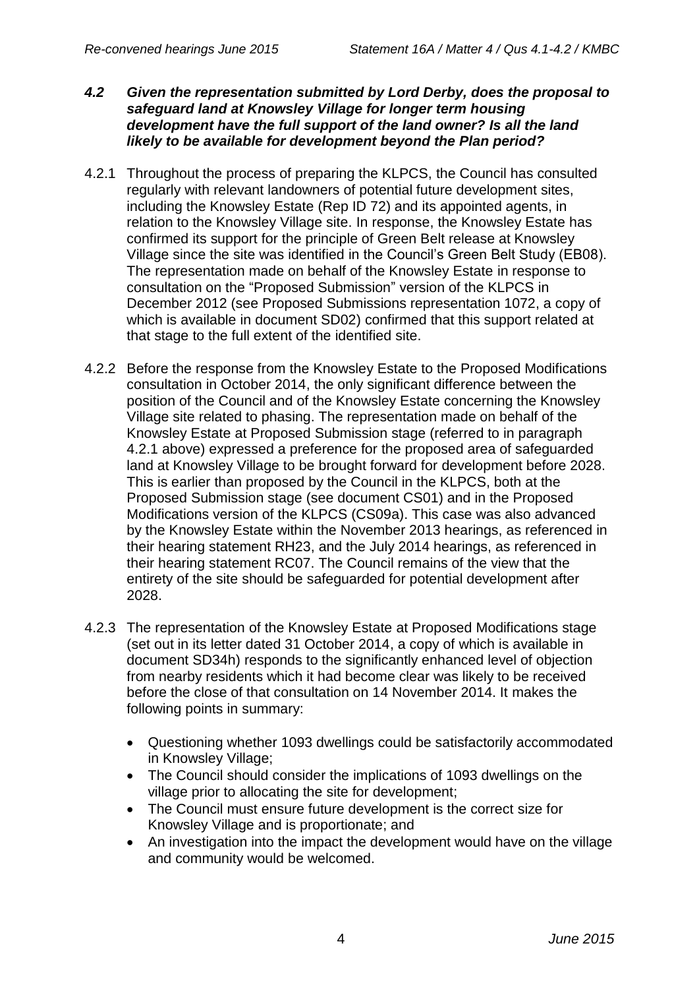- *4.2 Given the representation submitted by Lord Derby, does the proposal to safeguard land at Knowsley Village for longer term housing development have the full support of the land owner? Is all the land likely to be available for development beyond the Plan period?*
- 4.2.1 Throughout the process of preparing the KLPCS, the Council has consulted regularly with relevant landowners of potential future development sites, including the Knowsley Estate (Rep ID 72) and its appointed agents, in relation to the Knowsley Village site. In response, the Knowsley Estate has confirmed its support for the principle of Green Belt release at Knowsley Village since the site was identified in the Council's Green Belt Study (EB08). The representation made on behalf of the Knowsley Estate in response to consultation on the "Proposed Submission" version of the KLPCS in December 2012 (see Proposed Submissions representation 1072, a copy of which is available in document SD02) confirmed that this support related at that stage to the full extent of the identified site.
- 4.2.2 Before the response from the Knowsley Estate to the Proposed Modifications consultation in October 2014, the only significant difference between the position of the Council and of the Knowsley Estate concerning the Knowsley Village site related to phasing. The representation made on behalf of the Knowsley Estate at Proposed Submission stage (referred to in paragraph 4.2.1 above) expressed a preference for the proposed area of safeguarded land at Knowsley Village to be brought forward for development before 2028. This is earlier than proposed by the Council in the KLPCS, both at the Proposed Submission stage (see document CS01) and in the Proposed Modifications version of the KLPCS (CS09a). This case was also advanced by the Knowsley Estate within the November 2013 hearings, as referenced in their hearing statement RH23, and the July 2014 hearings, as referenced in their hearing statement RC07. The Council remains of the view that the entirety of the site should be safeguarded for potential development after 2028.
- 4.2.3 The representation of the Knowsley Estate at Proposed Modifications stage (set out in its letter dated 31 October 2014, a copy of which is available in document SD34h) responds to the significantly enhanced level of objection from nearby residents which it had become clear was likely to be received before the close of that consultation on 14 November 2014. It makes the following points in summary:
	- Questioning whether 1093 dwellings could be satisfactorily accommodated in Knowsley Village;
	- The Council should consider the implications of 1093 dwellings on the village prior to allocating the site for development;
	- The Council must ensure future development is the correct size for Knowsley Village and is proportionate; and
	- An investigation into the impact the development would have on the village and community would be welcomed.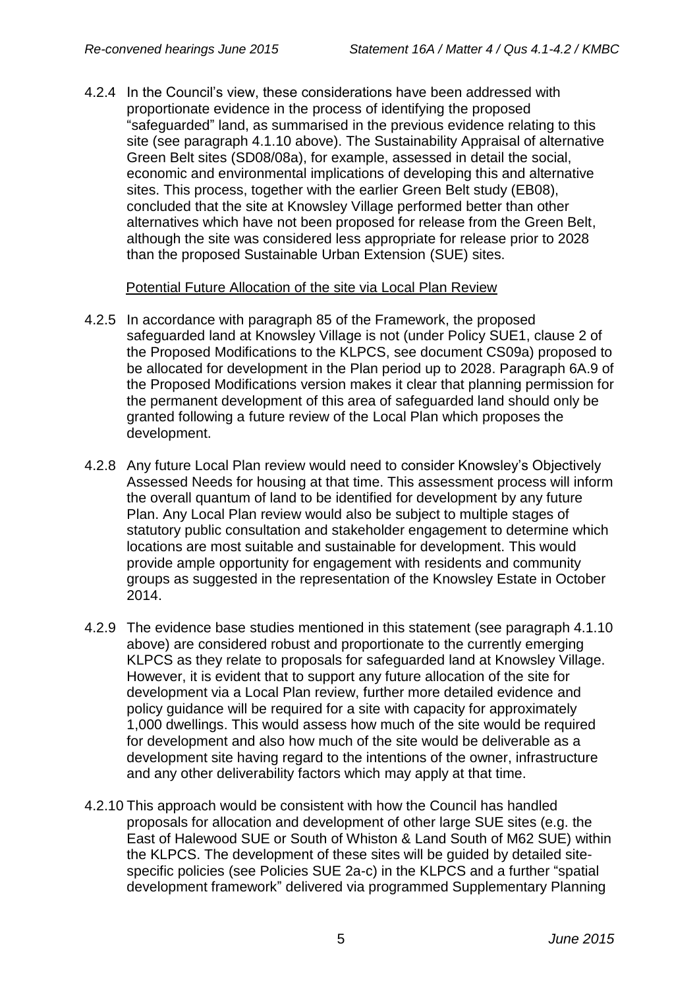4.2.4 In the Council's view, these considerations have been addressed with proportionate evidence in the process of identifying the proposed "safeguarded" land, as summarised in the previous evidence relating to this site (see paragraph 4.1.10 above). The Sustainability Appraisal of alternative Green Belt sites (SD08/08a), for example, assessed in detail the social, economic and environmental implications of developing this and alternative sites. This process, together with the earlier Green Belt study (EB08), concluded that the site at Knowsley Village performed better than other alternatives which have not been proposed for release from the Green Belt, although the site was considered less appropriate for release prior to 2028 than the proposed Sustainable Urban Extension (SUE) sites.

## Potential Future Allocation of the site via Local Plan Review

- 4.2.5 In accordance with paragraph 85 of the Framework, the proposed safeguarded land at Knowsley Village is not (under Policy SUE1, clause 2 of the Proposed Modifications to the KLPCS, see document CS09a) proposed to be allocated for development in the Plan period up to 2028. Paragraph 6A.9 of the Proposed Modifications version makes it clear that planning permission for the permanent development of this area of safeguarded land should only be granted following a future review of the Local Plan which proposes the development.
- 4.2.8 Any future Local Plan review would need to consider Knowsley's Objectively Assessed Needs for housing at that time. This assessment process will inform the overall quantum of land to be identified for development by any future Plan. Any Local Plan review would also be subject to multiple stages of statutory public consultation and stakeholder engagement to determine which locations are most suitable and sustainable for development. This would provide ample opportunity for engagement with residents and community groups as suggested in the representation of the Knowsley Estate in October 2014.
- 4.2.9 The evidence base studies mentioned in this statement (see paragraph 4.1.10 above) are considered robust and proportionate to the currently emerging KLPCS as they relate to proposals for safeguarded land at Knowsley Village. However, it is evident that to support any future allocation of the site for development via a Local Plan review, further more detailed evidence and policy guidance will be required for a site with capacity for approximately 1,000 dwellings. This would assess how much of the site would be required for development and also how much of the site would be deliverable as a development site having regard to the intentions of the owner, infrastructure and any other deliverability factors which may apply at that time.
- 4.2.10 This approach would be consistent with how the Council has handled proposals for allocation and development of other large SUE sites (e.g. the East of Halewood SUE or South of Whiston & Land South of M62 SUE) within the KLPCS. The development of these sites will be guided by detailed sitespecific policies (see Policies SUE 2a-c) in the KLPCS and a further "spatial development framework" delivered via programmed Supplementary Planning